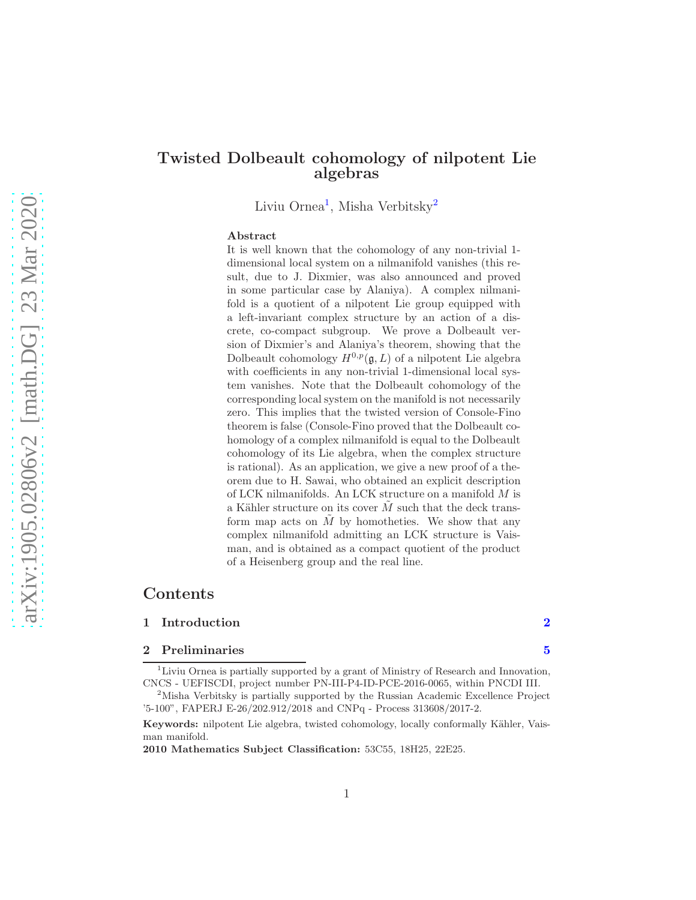# Twisted Dolbeault cohomology of nilpotent Lie algebras

Liviu Ornea<sup>[1](#page-0-0)</sup>, Misha Verbitsky<sup>[2](#page-0-1)</sup>

#### Abstract

It is well known that the cohomology of any non-trivial 1 dimensional local system on a nilmanifold vanishes (this result, due to J. Dixmier, was also announced and proved in some particular case by Alaniya). A complex nilmanifold is a quotient of a nilpotent Lie group equipped with a left-invariant complex structure by an action of a discrete, co-compact subgroup. We prove a Dolbeault version of Dixmier's and Alaniya's theorem, showing that the Dolbeault cohomology  $H^{0,p}(\mathfrak{g}, L)$  of a nilpotent Lie algebra with coefficients in any non-trivial 1-dimensional local system vanishes. Note that the Dolbeault cohomology of the corresponding local system on the manifold is not necessarily zero. This implies that the twisted version of Console-Fino theorem is false (Console-Fino proved that the Dolbeault cohomology of a complex nilmanifold is equal to the Dolbeault cohomology of its Lie algebra, when the complex structure is rational). As an application, we give a new proof of a theorem due to H. Sawai, who obtained an explicit description of LCK nilmanifolds. An LCK structure on a manifold M is a Kähler structure on its cover  $M$  such that the deck transform map acts on  $M$  by homotheties. We show that any complex nilmanifold admitting an LCK structure is Vaisman, and is obtained as a compact quotient of the product of a Heisenberg group and the real line.

# Contents

#### 1 Introduction [2](#page-1-0)

#### 2 Preliminaries [5](#page-4-0)

<span id="page-0-0"></span><sup>1</sup>Liviu Ornea is partially supported by a grant of Ministry of Research and Innovation, CNCS - UEFISCDI, project number PN-III-P4-ID-PCE-2016-0065, within PNCDI III.

<span id="page-0-1"></span><sup>2</sup>Misha Verbitsky is partially supported by the Russian Academic Excellence Project '5-100", FAPERJ E-26/202.912/2018 and CNPq - Process 313608/2017-2.

Keywords: nilpotent Lie algebra, twisted cohomology, locally conformally Kähler, Vaisman manifold.

<sup>2010</sup> Mathematics Subject Classification: 53C55, 18H25, 22E25.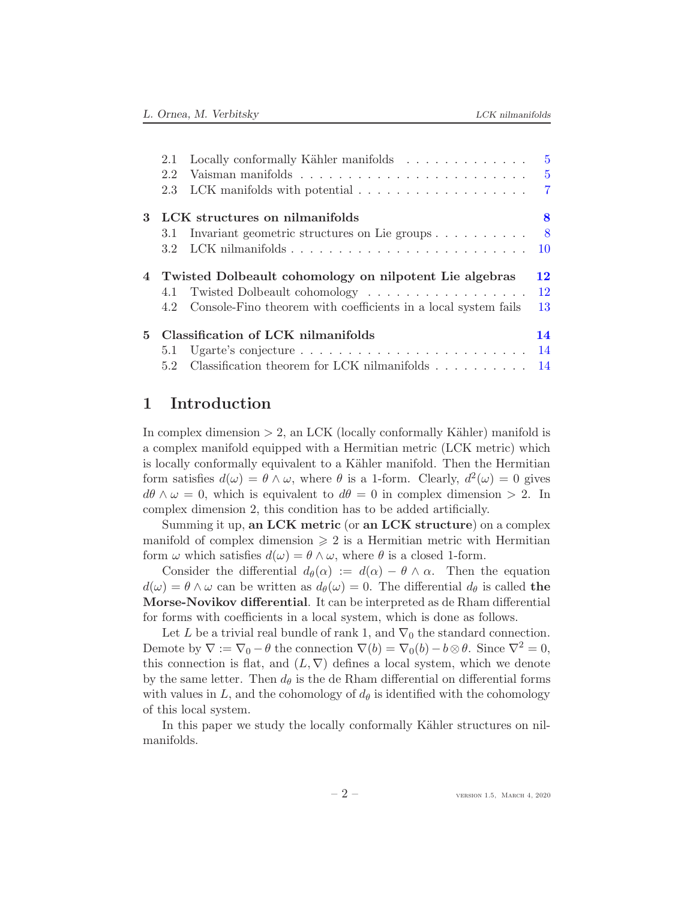|    | 2.1                                                      | Locally conformally Kähler manifolds                                                                                  | 5    |
|----|----------------------------------------------------------|-----------------------------------------------------------------------------------------------------------------------|------|
|    | 2.2                                                      |                                                                                                                       | 5    |
|    | 2.3                                                      | LCK manifolds with potential $\ldots \ldots \ldots \ldots \ldots \ldots$ 7                                            |      |
| 3  |                                                          | LCK structures on nilmanifolds                                                                                        | 8    |
|    | 3.1                                                      | Invariant geometric structures on Lie groups $\dots \dots \dots$                                                      | $-8$ |
|    | 3.2                                                      |                                                                                                                       |      |
|    | 4 Twisted Dolbeault cohomology on nilpotent Lie algebras |                                                                                                                       | 12   |
|    |                                                          |                                                                                                                       |      |
|    |                                                          |                                                                                                                       | 12   |
|    | 4.2                                                      | 4.1 Twisted Dolbeault cohomology<br>Console-Fino theorem with coefficients in a local system fails                    | 13   |
| 5. |                                                          | Classification of LCK nilmanifolds                                                                                    | 14   |
|    | 5.1                                                      | Ugarte's conjecture $\dots \dots \dots \dots \dots \dots \dots \dots \dots \dots \dots \dots \dots \dots \dots \dots$ |      |

# <span id="page-1-0"></span>1 Introduction

In complex dimension  $> 2$ , an LCK (locally conformally Kähler) manifold is a complex manifold equipped with a Hermitian metric (LCK metric) which is locally conformally equivalent to a Kähler manifold. Then the Hermitian form satisfies  $d(\omega) = \theta \wedge \omega$ , where  $\theta$  is a 1-form. Clearly,  $d^2(\omega) = 0$  gives  $d\theta \wedge \omega = 0$ , which is equivalent to  $d\theta = 0$  in complex dimension > 2. In complex dimension 2, this condition has to be added artificially.

Summing it up, an LCK metric (or an LCK structure) on a complex manifold of complex dimension  $\geq 2$  is a Hermitian metric with Hermitian form  $\omega$  which satisfies  $d(\omega) = \theta \wedge \omega$ , where  $\theta$  is a closed 1-form.

Consider the differential  $d_{\theta}(\alpha) := d(\alpha) - \theta \wedge \alpha$ . Then the equation  $d(\omega) = \theta \wedge \omega$  can be written as  $d_{\theta}(\omega) = 0$ . The differential  $d_{\theta}$  is called the Morse-Novikov differential. It can be interpreted as de Rham differential for forms with coefficients in a local system, which is done as follows.

Let L be a trivial real bundle of rank 1, and  $\nabla_0$  the standard connection. Demote by  $\nabla := \nabla_0 - \theta$  the connection  $\nabla(b) = \nabla_0(b) - b \otimes \theta$ . Since  $\nabla^2 = 0$ , this connection is flat, and  $(L, \nabla)$  defines a local system, which we denote by the same letter. Then  $d_{\theta}$  is the de Rham differential on differential forms with values in L, and the cohomology of  $d_{\theta}$  is identified with the cohomology of this local system.

In this paper we study the locally conformally Kähler structures on nilmanifolds.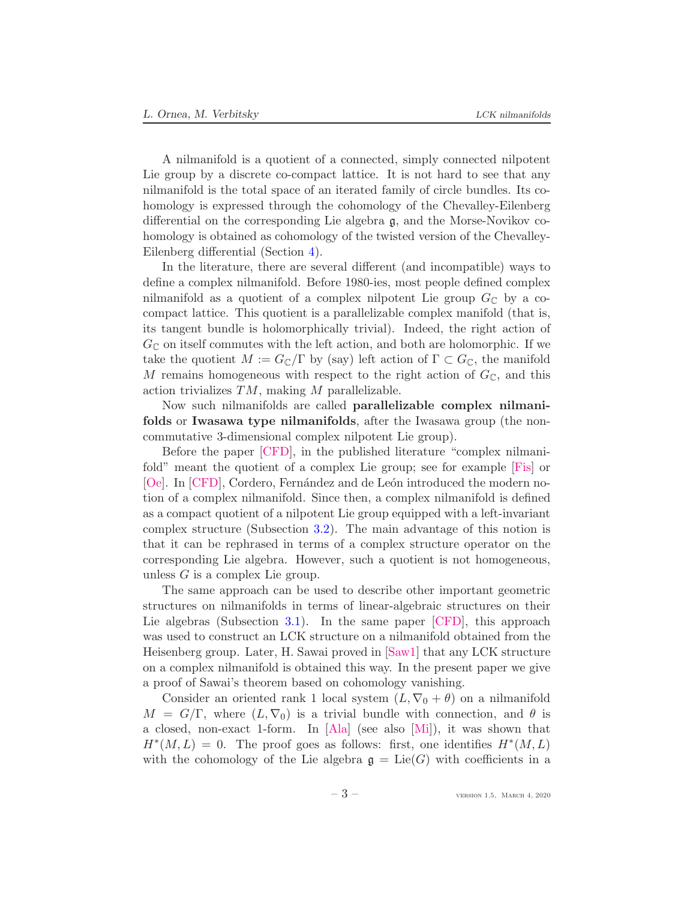<span id="page-2-0"></span>A nilmanifold is a quotient of a connected, simply connected nilpotent Lie group by a discrete co-compact lattice. It is not hard to see that any nilmanifold is the total space of an iterated family of circle bundles. Its cohomology is expressed through the cohomology of the Chevalley-Eilenberg differential on the corresponding Lie algebra g, and the Morse-Novikov cohomology is obtained as cohomology of the twisted version of the Chevalley-Eilenberg differential (Section [4\)](#page-11-0).

In the literature, there are several different (and incompatible) ways to define a complex nilmanifold. Before 1980-ies, most people defined complex nilmanifold as a quotient of a complex nilpotent Lie group  $G_{\mathbb{C}}$  by a cocompact lattice. This quotient is a parallelizable complex manifold (that is, its tangent bundle is holomorphically trivial). Indeed, the right action of  $G_{\mathbb{C}}$  on itself commutes with the left action, and both are holomorphic. If we take the quotient  $M := G_{\mathbb{C}}/\Gamma$  by (say) left action of  $\Gamma \subset G_{\mathbb{C}}$ , the manifold M remains homogeneous with respect to the right action of  $G_{\mathbb{C}}$ , and this action trivializes TM, making M parallelizable.

Now such nilmanifolds are called parallelizable complex nilmanifolds or Iwasawa type nilmanifolds, after the Iwasawa group (the noncommutative 3-dimensional complex nilpotent Lie group).

Before the paper [\[CFD\]](#page-16-0), in the published literature "complex nilmanifold" meant the quotient of a complex Lie group; see for example [\[Fis\]](#page-17-0) or [\[Oe\]](#page-17-1). In [\[CFD\]](#page-16-0), Cordero, Fernández and de León introduced the modern notion of a complex nilmanifold. Since then, a complex nilmanifold is defined as a compact quotient of a nilpotent Lie group equipped with a left-invariant complex structure (Subsection [3.2\)](#page-9-0). The main advantage of this notion is that it can be rephrased in terms of a complex structure operator on the corresponding Lie algebra. However, such a quotient is not homogeneous, unless  $G$  is a complex Lie group.

The same approach can be used to describe other important geometric structures on nilmanifolds in terms of linear-algebraic structures on their Lie algebras (Subsection [3.1\)](#page-7-1). In the same paper [\[CFD\]](#page-16-0), this approach was used to construct an LCK structure on a nilmanifold obtained from the Heisenberg group. Later, H. Sawai proved in [\[Saw1\]](#page-17-2) that any LCK structure on a complex nilmanifold is obtained this way. In the present paper we give a proof of Sawai's theorem based on cohomology vanishing.

Consider an oriented rank 1 local system  $(L, \nabla_0 + \theta)$  on a nilmanifold  $M = G/\Gamma$ , where  $(L, \nabla_0)$  is a trivial bundle with connection, and  $\theta$  is a closed, non-exact 1-form. In [\[Ala\]](#page-16-1) (see also [\[Mi\]](#page-17-3)), it was shown that  $H^*(M,L) = 0$ . The proof goes as follows: first, one identifies  $H^*(M,L)$ with the cohomology of the Lie algebra  $\mathfrak{g} = \text{Lie}(G)$  with coefficients in a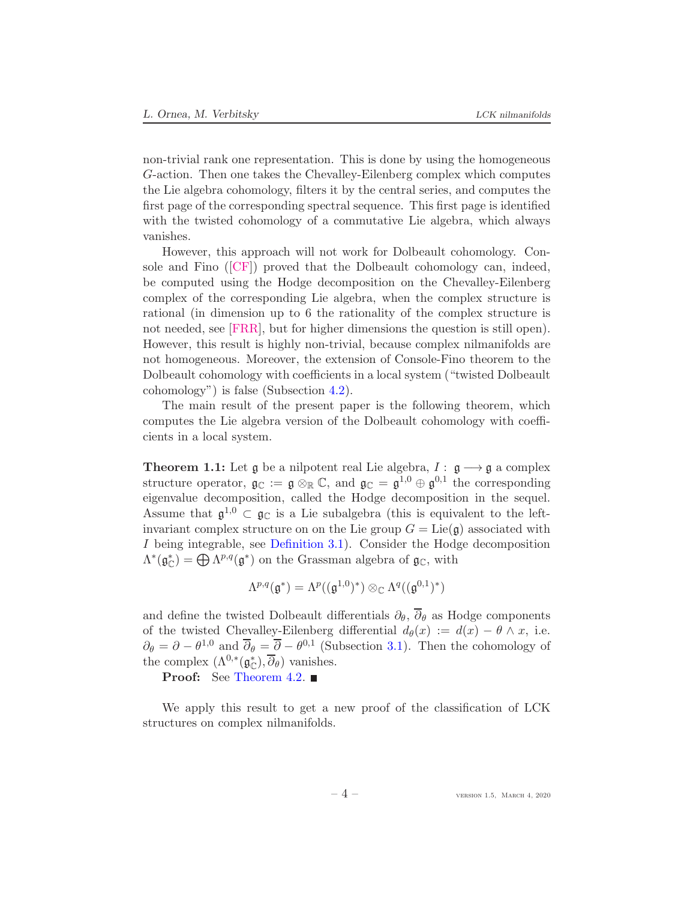<span id="page-3-0"></span>non-trivial rank one representation. This is done by using the homogeneous G-action. Then one takes the Chevalley-Eilenberg complex which computes the Lie algebra cohomology, filters it by the central series, and computes the first page of the corresponding spectral sequence. This first page is identified with the twisted cohomology of a commutative Lie algebra, which always vanishes.

However, this approach will not work for Dolbeault cohomology. Console and Fino([\[CF\]](#page-16-2)) proved that the Dolbeault cohomology can, indeed, be computed using the Hodge decomposition on the Chevalley-Eilenberg complex of the corresponding Lie algebra, when the complex structure is rational (in dimension up to 6 the rationality of the complex structure is not needed, see [\[FRR\]](#page-16-3), but for higher dimensions the question is still open). However, this result is highly non-trivial, because complex nilmanifolds are not homogeneous. Moreover, the extension of Console-Fino theorem to the Dolbeault cohomology with coefficients in a local system ("twisted Dolbeault cohomology") is false (Subsection [4.2\)](#page-12-0).

The main result of the present paper is the following theorem, which computes the Lie algebra version of the Dolbeault cohomology with coefficients in a local system.

**Theorem 1.1:** Let  $\mathfrak{g}$  be a nilpotent real Lie algebra,  $I : \mathfrak{g} \longrightarrow \mathfrak{g}$  a complex structure operator,  $\mathfrak{g}_{\mathbb{C}} := \mathfrak{g} \otimes_{\mathbb{R}} \mathbb{C}$ , and  $\mathfrak{g}_{\mathbb{C}} = \mathfrak{g}^{1,0} \oplus \mathfrak{g}^{0,1}$  the corresponding eigenvalue decomposition, called the Hodge decomposition in the sequel. Assume that  $\mathfrak{g}^{1,0} \subset \mathfrak{g}_{\mathbb{C}}$  is a Lie subalgebra (this is equivalent to the leftinvariant complex structure on on the Lie group  $G = \text{Lie}(\mathfrak{g})$  associated with I being integrable, see [Definition 3.1\)](#page-8-0). Consider the Hodge decomposition  $\Lambda^*(\mathfrak{g}_{\mathbb{C}}^*) = \bigoplus \Lambda^{p,q}(\mathfrak{g}^*)$  on the Grassman algebra of  $\mathfrak{g}_{\mathbb{C}}$ , with

$$
\Lambda^{p,q}(\mathfrak{g}^*)=\Lambda^p((\mathfrak{g}^{1,0})^*)\otimes_\mathbb{C} \Lambda^q((\mathfrak{g}^{0,1})^*)
$$

and define the twisted Dolbeault differentials  $\partial_{\theta}$ ,  $\overline{\partial}_{\theta}$  as Hodge components of the twisted Chevalley-Eilenberg differential  $d_{\theta}(x) := d(x) - \theta \wedge x$ , i.e.  $\partial_{\theta} = \partial - \theta^{1,0}$  and  $\overline{\partial}_{\theta} = \overline{\partial} - \theta^{0,1}$  (Subsection [3.1\)](#page-7-1). Then the cohomology of the complex  $(\Lambda^{0,*}(\mathfrak{g}_{\mathbb{C}}^*), \overline{\partial}_{\theta})$  vanishes.

Proof: See [Theorem 4.2.](#page-11-2) ■

We apply this result to get a new proof of the classification of LCK structures on complex nilmanifolds.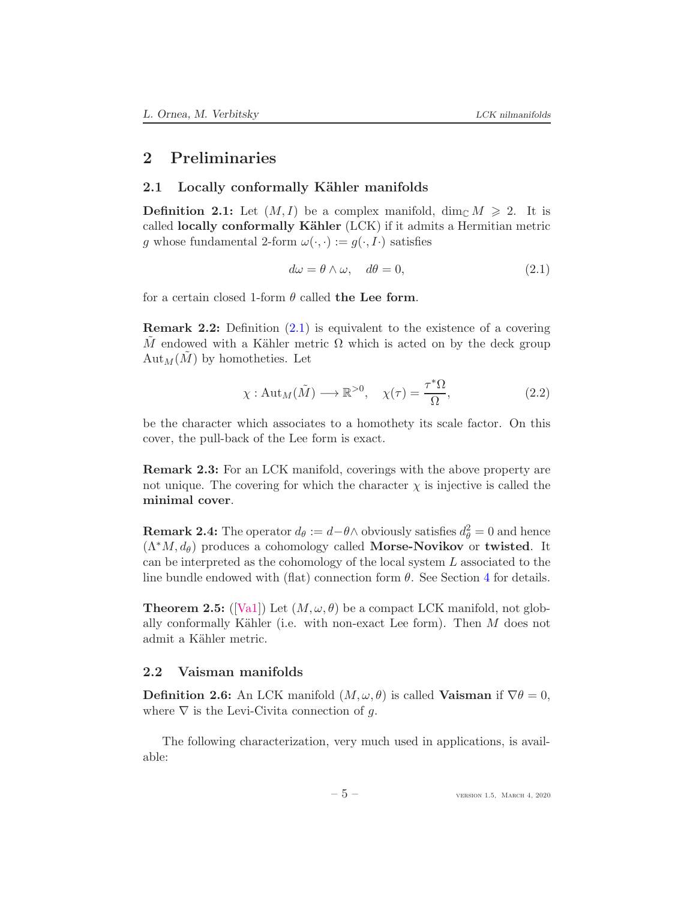# <span id="page-4-6"></span><span id="page-4-1"></span><span id="page-4-0"></span>2 Preliminaries

### 2.1 Locally conformally Kähler manifolds

**Definition 2.1:** Let  $(M, I)$  be a complex manifold, dim<sub>C</sub>  $M \ge 2$ . It is called locally conformally Kähler (LCK) if it admits a Hermitian metric g whose fundamental 2-form  $\omega(\cdot, \cdot) := g(\cdot, I)$  satisfies

<span id="page-4-3"></span>
$$
d\omega = \theta \wedge \omega, \quad d\theta = 0,
$$
\n(2.1)

for a certain closed 1-form  $\theta$  called the Lee form.

Remark 2.2: Definition [\(2.1\)](#page-4-3) is equivalent to the existence of a covering M endowed with a Kähler metric  $\Omega$  which is acted on by the deck group  $Aut_M(M)$  by homotheties. Let

$$
\chi: \text{Aut}_M(\tilde{M}) \longrightarrow \mathbb{R}^{>0}, \quad \chi(\tau) = \frac{\tau^*\Omega}{\Omega}, \tag{2.2}
$$

be the character which associates to a homothety its scale factor. On this cover, the pull-back of the Lee form is exact.

<span id="page-4-4"></span>Remark 2.3: For an LCK manifold, coverings with the above property are not unique. The covering for which the character  $\chi$  is injective is called the minimal cover.

**Remark 2.4:** The operator  $d_{\theta} := d - \theta \wedge$  obviously satisfies  $d_{\theta}^2 = 0$  and hence  $(\Lambda^*M, d_\theta)$  produces a cohomology called **Morse-Novikov** or **twisted**. It can be interpreted as the cohomology of the local system L associated to the line bundle endowed with (flat) connection form  $\theta$ . See Section [4](#page-11-0) for details.

<span id="page-4-5"></span>**Theorem 2.5:** ([\[Va1\]](#page-18-0)) Let  $(M, \omega, \theta)$  be a compact LCK manifold, not globally conformally Kähler (i.e. with non-exact Lee form). Then  $M$  does not admit a Kähler metric.

### <span id="page-4-2"></span>2.2 Vaisman manifolds

**Definition 2.6:** An LCK manifold  $(M, \omega, \theta)$  is called **Vaisman** if  $\nabla \theta = 0$ , where  $\nabla$  is the Levi-Civita connection of g.

The following characterization, very much used in applications, is available: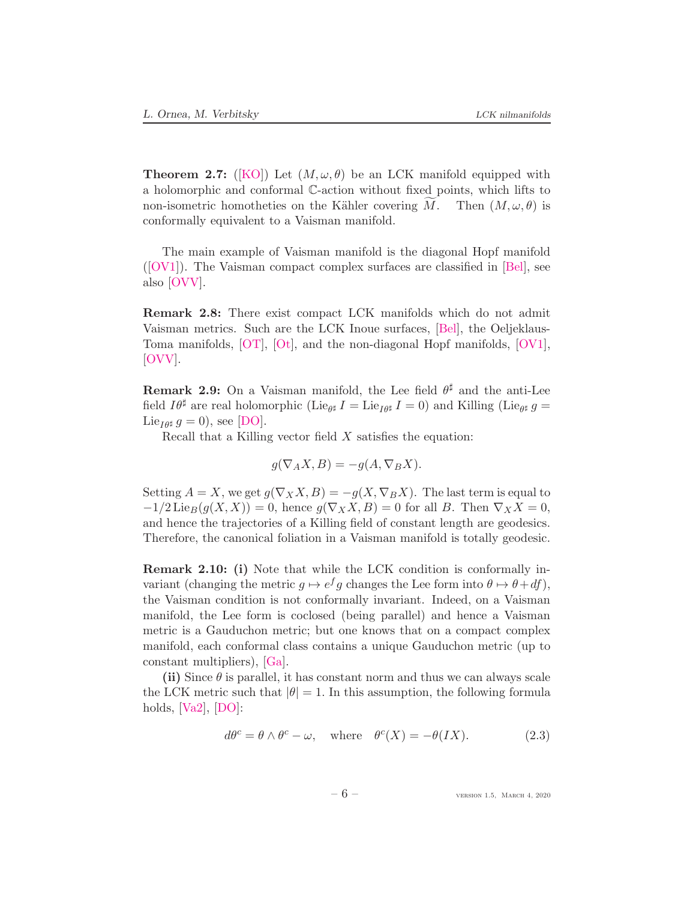<span id="page-5-2"></span>**Theorem 2.7:** ([\[KO\]](#page-17-4)) Let  $(M, \omega, \theta)$  be an LCK manifold equipped with a holomorphic and conformal C-action without fixed points, which lifts to non-isometric homotheties on the Kähler covering M. Then  $(M, \omega, \theta)$  is conformally equivalent to a Vaisman manifold.

The main example of Vaisman manifold is the diagonal Hopf manifold  $([OV1])$  $([OV1])$  $([OV1])$ . The Vaisman compact complex surfaces are classified in [\[Bel\]](#page-16-4), see also [\[OVV\]](#page-17-6).

Remark 2.8: There exist compact LCK manifolds which do not admit Vaisman metrics. Such are the LCK Inoue surfaces, [\[Bel\]](#page-16-4), the Oeljeklaus-Toma manifolds, [\[OT\]](#page-17-7), [\[Ot\]](#page-17-8), and the non-diagonal Hopf manifolds, [\[OV1\]](#page-17-5), [\[OVV\]](#page-17-6).

<span id="page-5-1"></span>**Remark 2.9:** On a Vaisman manifold, the Lee field  $\theta^{\sharp}$  and the anti-Lee field  $I\theta^{\sharp}$  are real holomorphic (Lie<sub> $\theta^{\sharp}$ </sub>  $I = \text{Lie}_{I\theta^{\sharp}} I = 0$ ) and Killing (Lie $_{\theta^{\sharp}} g =$ Lie<sub>I $\theta$ </sub> g = 0), see [\[DO\]](#page-16-5).

Recall that a Killing vector field  $X$  satisfies the equation:

$$
g(\nabla_A X, B) = -g(A, \nabla_B X).
$$

Setting  $A = X$ , we get  $g(\nabla_X X, B) = -g(X, \nabla_B X)$ . The last term is equal to  $-1/2$  Lie $_B(g(X, X)) = 0$ , hence  $g(\nabla_X X, B) = 0$  for all B. Then  $\nabla_X X = 0$ , and hence the trajectories of a Killing field of constant length are geodesics. Therefore, the canonical foliation in a Vaisman manifold is totally geodesic.

Remark 2.10: (i) Note that while the LCK condition is conformally invariant (changing the metric  $g \mapsto e^f g$  changes the Lee form into  $\theta \mapsto \theta + df$ ), the Vaisman condition is not conformally invariant. Indeed, on a Vaisman manifold, the Lee form is coclosed (being parallel) and hence a Vaisman metric is a Gauduchon metric; but one knows that on a compact complex manifold, each conformal class contains a unique Gauduchon metric (up to constant multipliers), [\[Ga\]](#page-16-6).

(ii) Since  $\theta$  is parallel, it has constant norm and thus we can always scale the LCK metric such that  $|\theta| = 1$ . In this assumption, the following formula holds,  $[Va2]$ ,  $[DO]$ :

<span id="page-5-0"></span>
$$
d\theta^{c} = \theta \wedge \theta^{c} - \omega, \quad \text{where} \quad \theta^{c}(X) = -\theta(IX). \tag{2.3}
$$

 $-6$  – version 1.5, March 4, 2020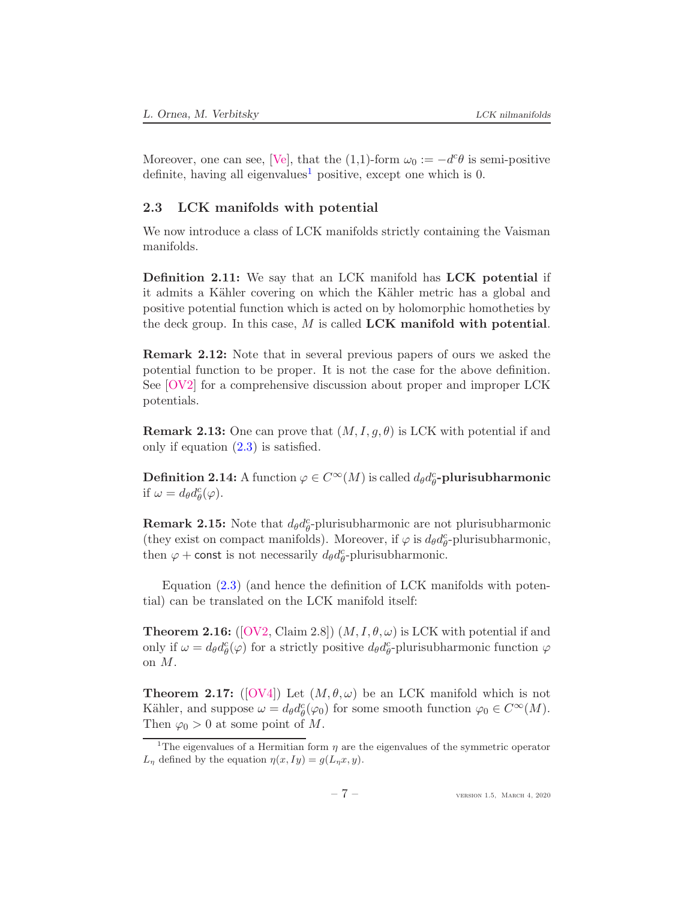<span id="page-6-4"></span>Moreover, one can see, [\[Ve\]](#page-18-2), that the (1,1)-form  $\omega_0 := -d^c \theta$  is semi-positive definite, having all eigenvalues<sup>[1](#page-6-1)</sup> positive, except one which is 0.

# <span id="page-6-0"></span>2.3 LCK manifolds with potential

We now introduce a class of LCK manifolds strictly containing the Vaisman manifolds.

Definition 2.11: We say that an LCK manifold has LCK potential if it admits a Kähler covering on which the Kähler metric has a global and positive potential function which is acted on by holomorphic homotheties by the deck group. In this case,  $M$  is called LCK manifold with potential.

Remark 2.12: Note that in several previous papers of ours we asked the potential function to be proper. It is not the case for the above definition. See [\[OV2\]](#page-17-9) for a comprehensive discussion about proper and improper LCK potentials.

**Remark 2.13:** One can prove that  $(M, I, g, \theta)$  is LCK with potential if and only if equation [\(2.3\)](#page-5-0) is satisfied.

**Definition 2.14:** A function  $\varphi \in C^{\infty}(M)$  is called  $d_{\theta}d_{\theta}^{c}$ -plurisubharmonic if  $\omega = d_{\theta} d_{\theta}^c(\varphi)$ .

**Remark 2.15:** Note that  $d_{\theta}d_{\theta}^{c}$ -plurisubharmonic are not plurisubharmonic (they exist on compact manifolds). Moreover, if  $\varphi$  is  $d_{\theta}d_{\theta}^{c}$ -plurisubharmonic, then  $\varphi$  + const is not necessarily  $d_{\theta}d_{\theta}^{c}$ -plurisubharmonic.

Equation [\(2.3\)](#page-5-0) (and hence the definition of LCK manifolds with potential) can be translated on the LCK manifold itself:

<span id="page-6-2"></span>**Theorem 2.16:** ([\[OV2,](#page-17-9) Claim 2.8])  $(M, I, \theta, \omega)$  is LCK with potential if and only if  $\omega = d_{\theta} d_{\theta}^{c}(\varphi)$  for a strictly positive  $d_{\theta} d_{\theta}^{c}$ -plurisubharmonic function  $\varphi$ on M.

<span id="page-6-3"></span>**Theorem 2.17:** ([\[OV4\]](#page-17-10)) Let  $(M, \theta, \omega)$  be an LCK manifold which is not Kähler, and suppose  $\omega = d_{\theta} d_{\theta}^{c}(\varphi_0)$  for some smooth function  $\varphi_0 \in C^{\infty}(M)$ . Then  $\varphi_0 > 0$  at some point of M.

<span id="page-6-1"></span><sup>&</sup>lt;sup>1</sup>The eigenvalues of a Hermitian form  $\eta$  are the eigenvalues of the symmetric operator  $L_{\eta}$  defined by the equation  $\eta(x, Iy) = g(L_{\eta}x, y)$ .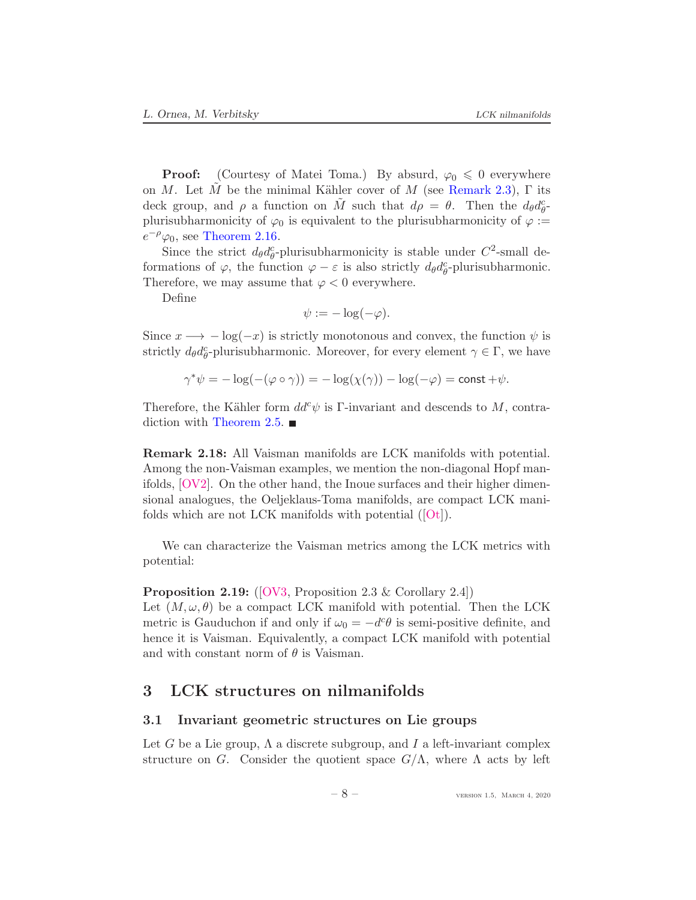<span id="page-7-3"></span>**Proof:** (Courtesy of Matei Toma.) By absurd,  $\varphi_0 \leq 0$  everywhere on M. Let M be the minimal Kähler cover of M (see [Remark 2.3\)](#page-4-4),  $\Gamma$  its deck group, and  $\rho$  a function on  $\tilde{M}$  such that  $d\rho = \theta$ . Then the  $d_{\theta}d_{\theta}^{c}$ plurisubharmonicity of  $\varphi_0$  is equivalent to the plurisubharmonicity of  $\varphi :=$  $e^{-\rho}\varphi_0$ , see [Theorem 2.16.](#page-6-2)

Since the strict  $d_{\theta}d_{\theta}^{c}$ -plurisubharmonicity is stable under  $C^{2}$ -small deformations of  $\varphi$ , the function  $\varphi - \varepsilon$  is also strictly  $d_{\theta}d_{\theta}^{c}$ -plurisubharmonic. Therefore, we may assume that  $\varphi < 0$  everywhere.

Define

$$
\psi := -\log(-\varphi).
$$

Since  $x \longrightarrow -\log(-x)$  is strictly monotonous and convex, the function  $\psi$  is strictly  $d_{\theta}d_{\theta}^{c}$ -plurisubharmonic. Moreover, for every element  $\gamma \in \Gamma$ , we have

$$
\gamma^* \psi = -\log(-(\varphi \circ \gamma)) = -\log(\chi(\gamma)) - \log(-\varphi) = \text{const} + \psi.
$$

Therefore, the Kähler form  $dd^c \psi$  is Γ-invariant and descends to M, contra-diction with [Theorem 2.5.](#page-4-5)  $\blacksquare$ 

Remark 2.18: All Vaisman manifolds are LCK manifolds with potential. Among the non-Vaisman examples, we mention the non-diagonal Hopf manifolds, [\[OV2\]](#page-17-9). On the other hand, the Inoue surfaces and their higher dimensional analogues, the Oeljeklaus-Toma manifolds, are compact LCK manifolds which are not LCK manifolds with potential([\[Ot\]](#page-17-8)).

We can characterize the Vaisman metrics among the LCK metrics with potential:

#### <span id="page-7-2"></span>Proposition 2.19: ([\[OV3,](#page-17-11) Proposition 2.3 & Corollary 2.4])

Let  $(M, \omega, \theta)$  be a compact LCK manifold with potential. Then the LCK metric is Gauduchon if and only if  $\omega_0 = -d^c \theta$  is semi-positive definite, and hence it is Vaisman. Equivalently, a compact LCK manifold with potential and with constant norm of  $\theta$  is Vaisman.

# <span id="page-7-1"></span><span id="page-7-0"></span>3 LCK structures on nilmanifolds

#### 3.1 Invariant geometric structures on Lie groups

Let G be a Lie group,  $\Lambda$  a discrete subgroup, and I a left-invariant complex structure on G. Consider the quotient space  $G/\Lambda$ , where  $\Lambda$  acts by left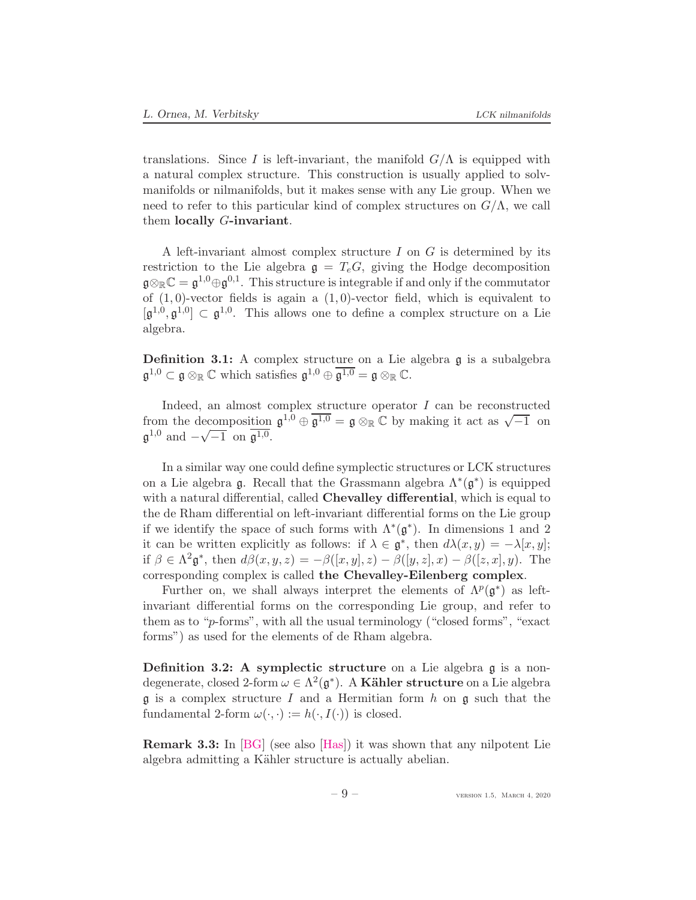<span id="page-8-1"></span>translations. Since I is left-invariant, the manifold  $G/\Lambda$  is equipped with a natural complex structure. This construction is usually applied to solvmanifolds or nilmanifolds, but it makes sense with any Lie group. When we need to refer to this particular kind of complex structures on  $G/\Lambda$ , we call them locally  $G$ -invariant.

A left-invariant almost complex structure  $I$  on  $G$  is determined by its restriction to the Lie algebra  $g = T_eG$ , giving the Hodge decomposition  $\mathfrak{g} \otimes_{\mathbb{R}} \mathbb{C} = \mathfrak{g}^{1,0} \oplus \mathfrak{g}^{0,1}$ . This structure is integrable if and only if the commutator of  $(1, 0)$ -vector fields is again a  $(1, 0)$ -vector field, which is equivalent to  $[\mathfrak{g}^{1,0}, \mathfrak{g}^{1,0}] \subset \mathfrak{g}^{1,0}$ . This allows one to define a complex structure on a Lie algebra.

<span id="page-8-0"></span>Definition 3.1: A complex structure on a Lie algebra g is a subalgebra  $\mathfrak{g}^{1,0} \subset \mathfrak{g} \otimes_{\mathbb{R}} \mathbb{C}$  which satisfies  $\mathfrak{g}^{1,0} \oplus \overline{\mathfrak{g}^{1,0}} = \mathfrak{g} \otimes_{\mathbb{R}} \mathbb{C}$ .

Indeed, an almost complex structure operator  $I$  can be reconstructed from the decomposition  $\mathfrak{g}^{1,0} \oplus \overline{\mathfrak{g}^{1,0}} = \mathfrak{g} \otimes_{\mathbb{R}} \mathbb{C}$  by making it act as  $\sqrt{-1}$  on  $\mathfrak{g}^{1,0}$  and  $-\sqrt{-1}$  on  $\overline{\mathfrak{g}^{1,0}}$ .

In a similar way one could define symplectic structures or LCK structures on a Lie algebra  $\mathfrak g$ . Recall that the Grassmann algebra  $\Lambda^*(\mathfrak g^*)$  is equipped with a natural differential, called **Chevalley differential**, which is equal to the de Rham differential on left-invariant differential forms on the Lie group if we identify the space of such forms with  $\Lambda^*(\mathfrak{g}^*)$ . In dimensions 1 and 2 it can be written explicitly as follows: if  $\lambda \in \mathfrak{g}^*$ , then  $d\lambda(x,y) = -\lambda[x,y]$ ; if  $\beta \in \Lambda^2 \mathfrak{g}^*$ , then  $d\beta(x, y, z) = -\beta([x, y], z) - \beta([y, z], x) - \beta([z, x], y)$ . The corresponding complex is called the Chevalley-Eilenberg complex.

Further on, we shall always interpret the elements of  $\Lambda^p(\mathfrak{g}^*)$  as leftinvariant differential forms on the corresponding Lie group, and refer to them as to "p-forms", with all the usual terminology ("closed forms", "exact forms") as used for the elements of de Rham algebra.

Definition 3.2: A symplectic structure on a Lie algebra  $\mathfrak g$  is a nondegenerate, closed 2-form  $\omega \in \Lambda^2(\mathfrak{g}^*)$ . A **Kähler structure** on a Lie algebra  $\mathfrak g$  is a complex structure I and a Hermitian form h on  $\mathfrak g$  such that the fundamental 2-form  $\omega(\cdot, \cdot) := h(\cdot, I(\cdot))$  is closed.

Remark 3.3: In [\[BG\]](#page-16-7) (see also [\[Has\]](#page-17-12)) it was shown that any nilpotent Lie algebra admitting a Kähler structure is actually abelian.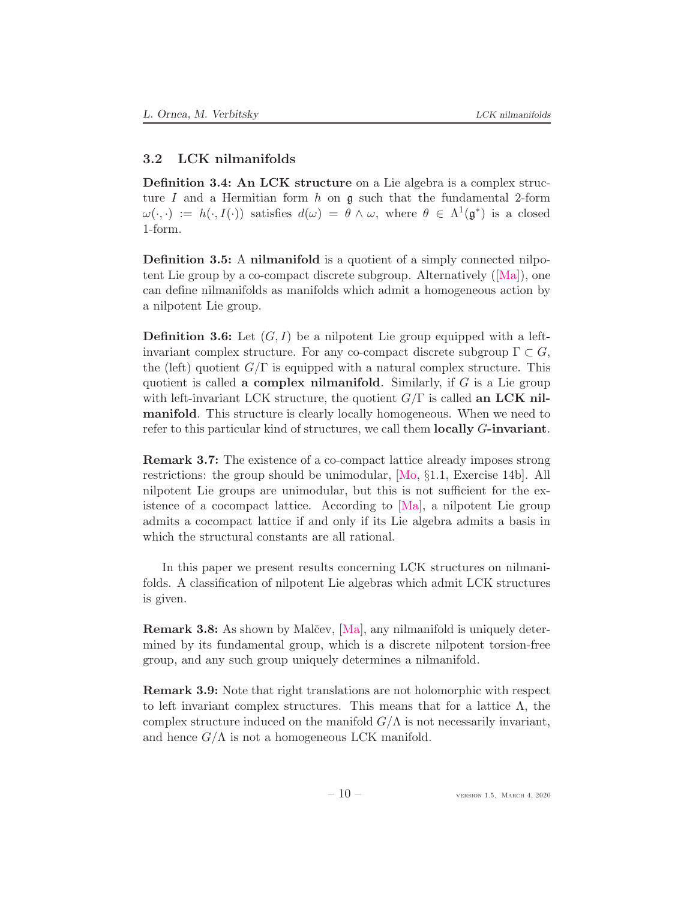### <span id="page-9-2"></span><span id="page-9-0"></span>3.2 LCK nilmanifolds

Definition 3.4: An LCK structure on a Lie algebra is a complex structure I and a Hermitian form h on  $\mathfrak g$  such that the fundamental 2-form  $\omega(\cdot, \cdot) := h(\cdot, I(\cdot))$  satisfies  $d(\omega) = \theta \wedge \omega$ , where  $\theta \in \Lambda^1(\mathfrak{g}^*)$  is a closed 1-form.

Definition 3.5: A nilmanifold is a quotient of a simply connected nilpo-tentLie group by a co-compact discrete subgroup. Alternatively  $([Ma])$  $([Ma])$  $([Ma])$ , one can define nilmanifolds as manifolds which admit a homogeneous action by a nilpotent Lie group.

<span id="page-9-1"></span>**Definition 3.6:** Let  $(G, I)$  be a nilpotent Lie group equipped with a leftinvariant complex structure. For any co-compact discrete subgroup  $\Gamma \subset G$ , the (left) quotient  $G/\Gamma$  is equipped with a natural complex structure. This quotient is called a complex nilmanifold. Similarly, if  $G$  is a Lie group with left-invariant LCK structure, the quotient  $G/\Gamma$  is called an LCK nilmanifold. This structure is clearly locally homogeneous. When we need to refer to this particular kind of structures, we call them locally G-invariant.

Remark 3.7: The existence of a co-compact lattice already imposes strong restrictions: the group should be unimodular, [\[Mo,](#page-17-14) §1.1, Exercise 14b]. All nilpotent Lie groups are unimodular, but this is not sufficient for the existence of a cocompact lattice. According to [\[Ma\]](#page-17-13), a nilpotent Lie group admits a cocompact lattice if and only if its Lie algebra admits a basis in which the structural constants are all rational.

In this paper we present results concerning LCK structures on nilmanifolds. A classification of nilpotent Lie algebras which admit LCK structures is given.

**Remark 3.8:** As shown by Malčev, [\[Ma\]](#page-17-13), any nilmanifold is uniquely determined by its fundamental group, which is a discrete nilpotent torsion-free group, and any such group uniquely determines a nilmanifold.

Remark 3.9: Note that right translations are not holomorphic with respect to left invariant complex structures. This means that for a lattice  $\Lambda$ , the complex structure induced on the manifold  $G/\Lambda$  is not necessarily invariant, and hence  $G/\Lambda$  is not a homogeneous LCK manifold.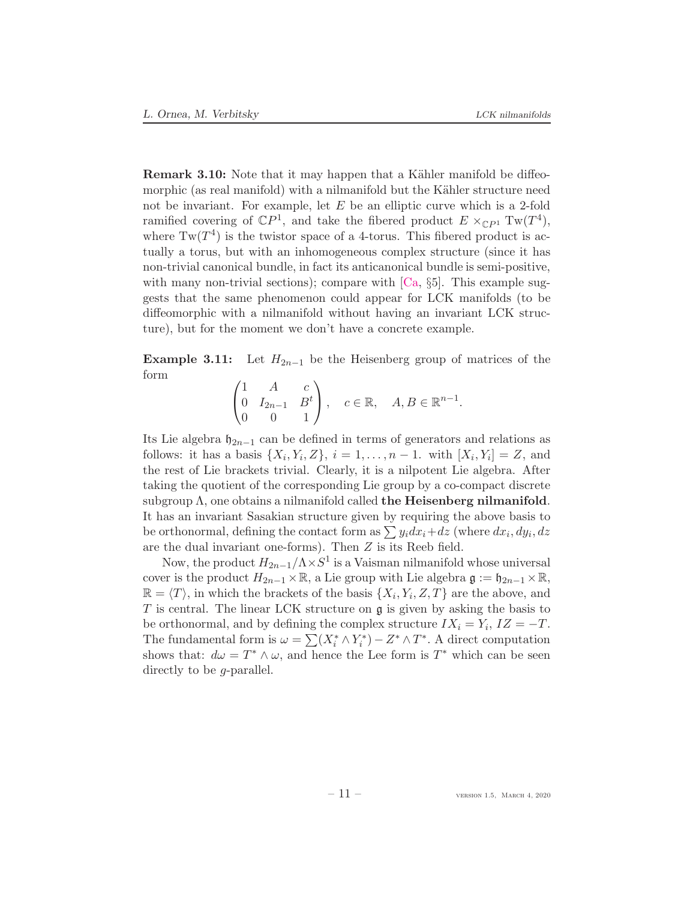<span id="page-10-1"></span>**Remark 3.10:** Note that it may happen that a Kähler manifold be diffeomorphic (as real manifold) with a nilmanifold but the Kähler structure need not be invariant. For example, let  $E$  be an elliptic curve which is a 2-fold ramified covering of  $\mathbb{C}P^1$ , and take the fibered product  $E \times_{\mathbb{C}P^1} \mathrm{Tw}(T^4)$ , where  $Tw(T^4)$  is the twistor space of a 4-torus. This fibered product is actually a torus, but with an inhomogeneous complex structure (since it has non-trivial canonical bundle, in fact its anticanonical bundle is semi-positive, with many non-trivial sections); compare with  $[\text{Ca}, \S_5]$ . This example suggests that the same phenomenon could appear for LCK manifolds (to be diffeomorphic with a nilmanifold without having an invariant LCK structure), but for the moment we don't have a concrete example.

<span id="page-10-0"></span>**Example 3.11:** Let  $H_{2n-1}$  be the Heisenberg group of matrices of the form

$$
\begin{pmatrix} 1 & A & c \\ 0 & I_{2n-1} & B^t \\ 0 & 0 & 1 \end{pmatrix}, \quad c \in \mathbb{R}, \quad A, B \in \mathbb{R}^{n-1}.
$$

Its Lie algebra  $\mathfrak{h}_{2n-1}$  can be defined in terms of generators and relations as follows: it has a basis  $\{X_i, Y_i, Z\}$ ,  $i = 1, \ldots, n - 1$ . with  $[X_i, Y_i] = Z$ , and the rest of Lie brackets trivial. Clearly, it is a nilpotent Lie algebra. After taking the quotient of the corresponding Lie group by a co-compact discrete subgroup  $\Lambda$ , one obtains a nilmanifold called the Heisenberg nilmanifold. It has an invariant Sasakian structure given by requiring the above basis to be orthonormal, defining the contact form as  $\sum y_i dx_i + dz$  (where  $dx_i, dy_i, dz$ ) are the dual invariant one-forms). Then Z is its Reeb field.

Now, the product  $H_{2n-1}/\Lambda \times S^1$  is a Vaisman nilmanifold whose universal cover is the product  $H_{2n-1} \times \mathbb{R}$ , a Lie group with Lie algebra  $\mathfrak{g} := \mathfrak{h}_{2n-1} \times \mathbb{R}$ ,  $\mathbb{R} = \langle T \rangle$ , in which the brackets of the basis  $\{X_i, Y_i, Z, T\}$  are the above, and T is central. The linear LCK structure on  $\mathfrak g$  is given by asking the basis to be orthonormal, and by defining the complex structure  $IX_i = Y_i$ ,  $IZ = -T$ . The fundamental form is  $\omega = \sum_{i=1}^{n} (X_i^* \wedge Y_i^*)$  $(\hat{i}^*) - Z^* \wedge T^*$ . A direct computation shows that:  $d\omega = T^* \wedge \omega$ , and hence the Lee form is  $T^*$  which can be seen directly to be *g*-parallel.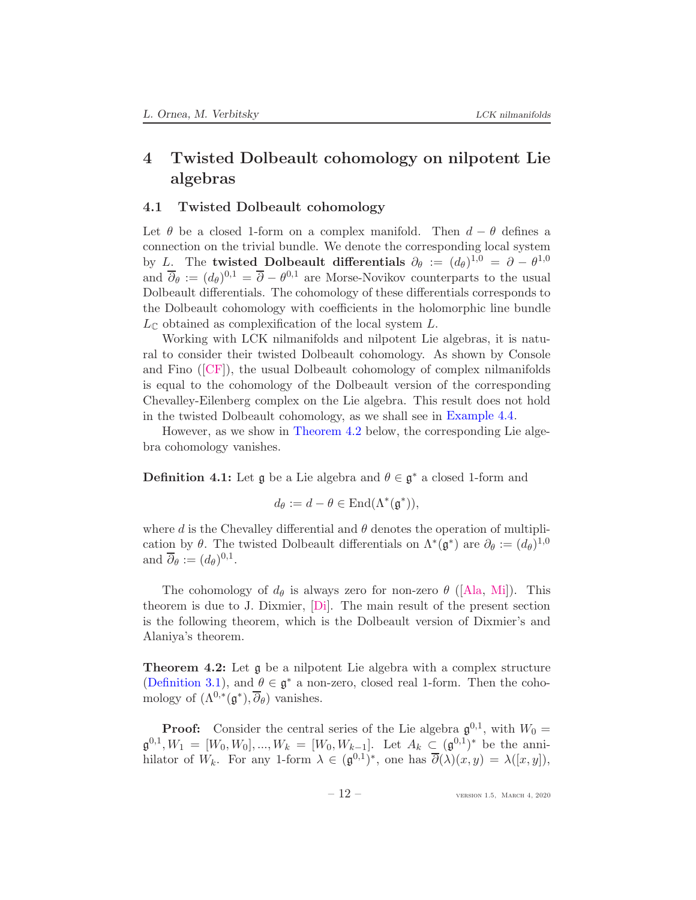# <span id="page-11-3"></span><span id="page-11-0"></span>4 Twisted Dolbeault cohomology on nilpotent Lie algebras

## <span id="page-11-1"></span>4.1 Twisted Dolbeault cohomology

Let  $\theta$  be a closed 1-form on a complex manifold. Then  $d - \theta$  defines a connection on the trivial bundle. We denote the corresponding local system by L. The **twisted Dolbeault differentials**  $\partial_{\theta} := (d_{\theta})^{1,0} = \partial - \theta^{1,0}$ and  $\overline{\partial}_{\theta} := (d_{\theta})^{0,1} = \overline{\partial} - \theta^{0,1}$  are Morse-Novikov counterparts to the usual Dolbeault differentials. The cohomology of these differentials corresponds to the Dolbeault cohomology with coefficients in the holomorphic line bundle  $L_{\mathbb{C}}$  obtained as complexification of the local system L.

Working with LCK nilmanifolds and nilpotent Lie algebras, it is natural to consider their twisted Dolbeault cohomology. As shown by Console and Fino([\[CF\]](#page-16-2)), the usual Dolbeault cohomology of complex nilmanifolds is equal to the cohomology of the Dolbeault version of the corresponding Chevalley-Eilenberg complex on the Lie algebra. This result does not hold in the twisted Dolbeault cohomology, as we shall see in [Example 4.4.](#page-12-1)

However, as we show in [Theorem 4.2](#page-11-2) below, the corresponding Lie algebra cohomology vanishes.

**Definition 4.1:** Let  $\mathfrak{g}$  be a Lie algebra and  $\theta \in \mathfrak{g}^*$  a closed 1-form and

$$
d_{\theta} := d - \theta \in \text{End}(\Lambda^*(\mathfrak{g}^*)),
$$

where d is the Chevalley differential and  $\theta$  denotes the operation of multiplication by  $\theta$ . The twisted Dolbeault differentials on  $\Lambda^*(\mathfrak{g}^*)$  are  $\partial_{\theta} := (d_{\theta})^{1,0}$ and  $\overline{\partial}_{\theta} := (d_{\theta})^{0,1}.$ 

The cohomology of  $d_{\theta}$  is always zero for non-zero  $\theta$  ([\[Ala,](#page-16-1) [Mi\]](#page-17-3)). This theorem is due to J. Dixmier, [\[Di\]](#page-16-9). The main result of the present section is the following theorem, which is the Dolbeault version of Dixmier's and Alaniya's theorem.

<span id="page-11-2"></span>Theorem 4.2: Let g be a nilpotent Lie algebra with a complex structure [\(Definition 3.1\)](#page-8-0), and  $\theta \in \mathfrak{g}^*$  a non-zero, closed real 1-form. Then the cohomology of  $(\Lambda^{0,*}(\mathfrak{g}^*), \overline{\partial}_{\theta})$  vanishes.

**Proof:** Consider the central series of the Lie algebra  $\mathfrak{g}^{0,1}$ , with  $W_0 =$  $\mathfrak{g}^{0,1}, W_1 = [W_0, W_0], ..., W_k = [W_0, W_{k-1}].$  Let  $A_k \subseteq (\mathfrak{g}^{0,1})^*$  be the annihilator of  $W_k$ . For any 1-form  $\lambda \in (\mathfrak{g}^{0,1})^*$ , one has  $\overline{\partial}(\lambda)(x,y) = \lambda([x,y])$ ,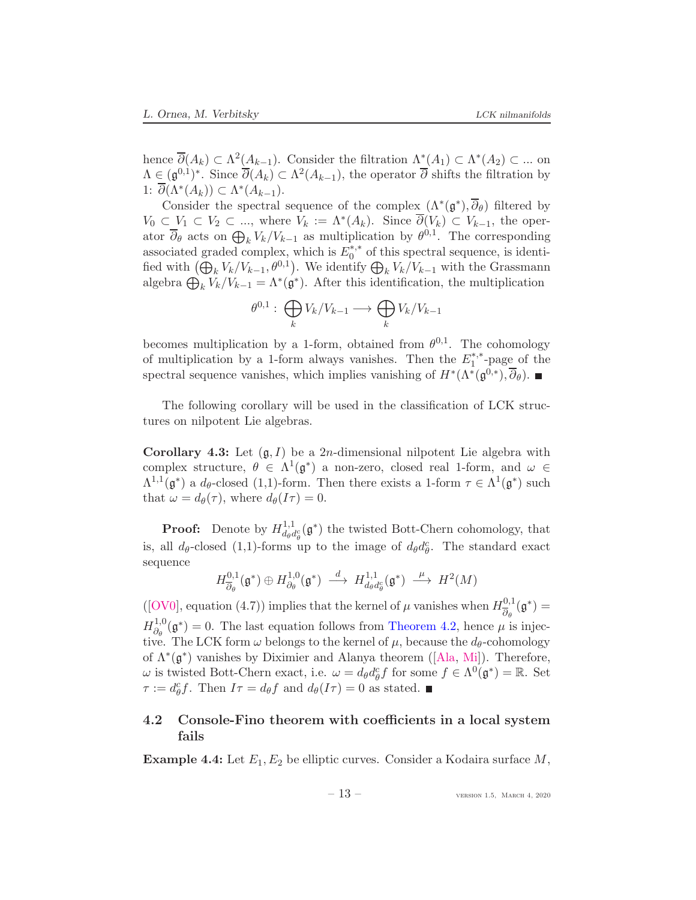<span id="page-12-3"></span>hence  $\overline{\partial}(A_k) \subset \Lambda^2(\underline{A}_{k-1})$ . Consider the filtration  $\Lambda^*(A_1) \subset \Lambda^*(A_2) \subset \dots$  on  $\Lambda \in (\mathfrak{g}^{0,1})^*$ . Since  $\overline{\partial}(A_k) \subset \Lambda^2(A_{k-1}),$  the operator  $\overline{\partial}$  shifts the filtration by 1:  $\overline{\partial}(\Lambda^*(A_k)) \subset \Lambda^*(A_{k-1}).$ 

Consider the spectral sequence of the complex  $(\Lambda^*(\mathfrak{g}^*), \overline{\partial}_{\theta})$  filtered by  $V_0 \subset V_1 \subset V_2 \subset \ldots$ , where  $V_k := \Lambda^*(A_k)$ . Since  $\overline{\partial}(V_k) \subset V_{k-1}$ , the operator  $\overline{\partial}_{\theta}$  acts on  $\bigoplus_k V_k/V_{k-1}$  as multiplication by  $\theta^{0,1}$ . The corresponding associated graded complex, which is  $E_0^{*,*}$  $_{0}^{\ast,\ast}$  of this spectral sequence, is identified with  $(\bigoplus_k V_k/V_{k-1}, \theta^{0,1})$ . We identify  $\bigoplus_k V_k/V_{k-1}$  with the Grassmann algebra  $\bigoplus_{k} V_k / V_{k-1} = \Lambda^*(\mathfrak{g}^*)$ . After this identification, the multiplication

$$
\theta^{0,1}:\bigoplus_k V_k/V_{k-1}\longrightarrow \bigoplus_k V_k/V_{k-1}
$$

becomes multiplication by a 1-form, obtained from  $\theta^{0,1}$ . The cohomology of multiplication by a 1-form always vanishes. Then the  $E_1^*$ <sup>\*</sup>  $i<sub>1</sub><sup>*</sup>$ -page of the spectral sequence vanishes, which implies vanishing of  $H^*(\Lambda^*(\mathfrak{g}^{\tilde{0},*}), \overline{\partial}_{\theta})$ .

The following corollary will be used in the classification of LCK structures on nilpotent Lie algebras.

<span id="page-12-2"></span>**Corollary 4.3:** Let  $(\mathfrak{g}, I)$  be a 2*n*-dimensional nilpotent Lie algebra with complex structure,  $\theta \in \Lambda^1(\mathfrak{g}^*)$  a non-zero, closed real 1-form, and  $\omega \in$  $\Lambda^{1,1}(\mathfrak{g}^*)$  a  $d_{\theta}$ -closed (1,1)-form. Then there exists a 1-form  $\tau \in \Lambda^1(\mathfrak{g}^*)$  such that  $\omega = d_{\theta}(\tau)$ , where  $d_{\theta}(I\tau) = 0$ .

**Proof:** Denote by  $H_{dof}^{1,1}$  $d_{d\theta}^{1,1}(\mathfrak{g}^*)$  the twisted Bott-Chern cohomology, that is, all  $d_{\theta}$ -closed (1,1)-forms up to the image of  $d_{\theta}d_{\theta}^{c}$ . The standard exact sequence

$$
H^{0,1}_{\overline{\partial}_{\theta}}(\mathfrak{g}^*)\oplus H^{1,0}_{\partial_{\theta}}(\mathfrak{g}^*)\ \stackrel{d}{\longrightarrow}\ H^{1,1}_{d_{\theta}d_{\theta}^c}(\mathfrak{g}^*)\ \stackrel{\mu}{\longrightarrow}\ H^2(M)
$$

([\[OV0\]](#page-17-15), equation (4.7)) implies that the kernel of  $\mu$  vanishes when  $H_{\overline{\mathcal{A}}}^{0,1}$  $\frac{\partial}{\partial_{\theta}}^{0,1}(\mathfrak{g}^*)=$  $H_{\partial_{\alpha}}^{1,0}$  $\partial_{\theta}^{1,0}(\mathfrak{g}^*)=0.$  The last equation follows from [Theorem 4.2,](#page-11-2) hence  $\mu$  is injective. The LCK form  $\omega$  belongs to the kernel of  $\mu$ , because the  $d_{\theta}$ -cohomology of $\Lambda^*(\mathfrak{g}^*)$  vanishes by Diximier and Alanya theorem ([\[Ala,](#page-16-1) [Mi\]](#page-17-3)). Therefore,  $ω$  is twisted Bott-Chern exact, i.e.  $ω = d_{θ} d_{θ}^{c} f$  for some  $f ∈ Λ<sup>0</sup>(\mathfrak{g}^{*}) = \mathbb{R}$ . Set  $\tau := d_{\theta}^{c} f$ . Then  $I\tau = d_{\theta} f$  and  $d_{\theta}(I\tau) = 0$  as stated.

# <span id="page-12-0"></span>4.2 Console-Fino theorem with coefficients in a local system fails

<span id="page-12-1"></span>**Example 4.4:** Let  $E_1, E_2$  be elliptic curves. Consider a Kodaira surface M,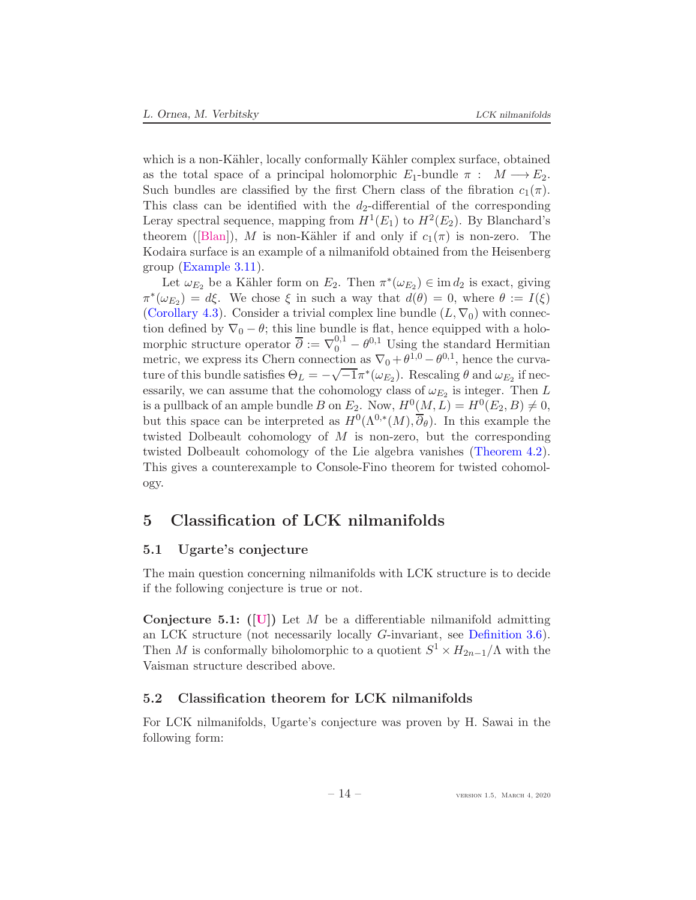<span id="page-13-4"></span>which is a non-Kähler, locally conformally Kähler complex surface, obtained as the total space of a principal holomorphic  $E_1$ -bundle  $\pi : M \longrightarrow E_2$ . Such bundles are classified by the first Chern class of the fibration  $c_1(\pi)$ . This class can be identified with the  $d_2$ -differential of the corresponding Leray spectral sequence, mapping from  $H^1(E_1)$  to  $H^2(E_2)$ . By Blanchard's theorem([\[Blan\]](#page-16-10)), M is non-Kähler if and only if  $c_1(\pi)$  is non-zero. The Kodaira surface is an example of a nilmanifold obtained from the Heisenberg group [\(Example 3.11\)](#page-10-0).

Let  $\omega_{E_2}$  be a Kähler form on  $E_2$ . Then  $\pi^*(\omega_{E_2}) \in \text{im } d_2$  is exact, giving  $\pi^*(\omega_{E_2}) = d\xi$ . We chose  $\xi$  in such a way that  $d(\theta) = 0$ , where  $\theta := I(\xi)$ [\(Corollary 4.3\)](#page-12-2). Consider a trivial complex line bundle  $(L, \nabla_0)$  with connection defined by  $\nabla_0 - \theta$ ; this line bundle is flat, hence equipped with a holomorphic structure operator  $\overline{\partial} := \nabla_0^{0,1} - \theta^{0,1}$  Using the standard Hermitian metric, we express its Chern connection as  $\nabla_0 + \theta^{1,0} - \theta^{0,1}$ , hence the curvature of this bundle satisfies  $\Theta_L = -\sqrt{-1}\pi^*(\omega_{E_2})$ . Rescaling  $\theta$  and  $\omega_{E_2}$  if necessarily, we can assume that the cohomology class of  $\omega_{E_2}$  is integer. Then L is a pullback of an ample bundle B on  $E_2$ . Now,  $H^0(M, L) = H^0(E_2, B) \neq 0$ , but this space can be interpreted as  $H^0(\Lambda^{0,*}(M), \overline{\partial}_{\theta})$ . In this example the twisted Dolbeault cohomology of  $M$  is non-zero, but the corresponding twisted Dolbeault cohomology of the Lie algebra vanishes [\(Theorem 4.2\)](#page-11-2). This gives a counterexample to Console-Fino theorem for twisted cohomology.

# <span id="page-13-1"></span><span id="page-13-0"></span>5 Classification of LCK nilmanifolds

## 5.1 Ugarte's conjecture

The main question concerning nilmanifolds with LCK structure is to decide if the following conjecture is true or not.

<span id="page-13-3"></span>**Conjecture 5.1:** ([\[U\]](#page-18-3)) Let M be a differentiable nilmanifold admitting an LCK structure (not necessarily locally G-invariant, see [Definition 3.6\)](#page-9-1). Then M is conformally biholomorphic to a quotient  $S^1 \times H_{2n-1}/\Lambda$  with the Vaisman structure described above.

## <span id="page-13-2"></span>5.2 Classification theorem for LCK nilmanifolds

For LCK nilmanifolds, Ugarte's conjecture was proven by H. Sawai in the following form: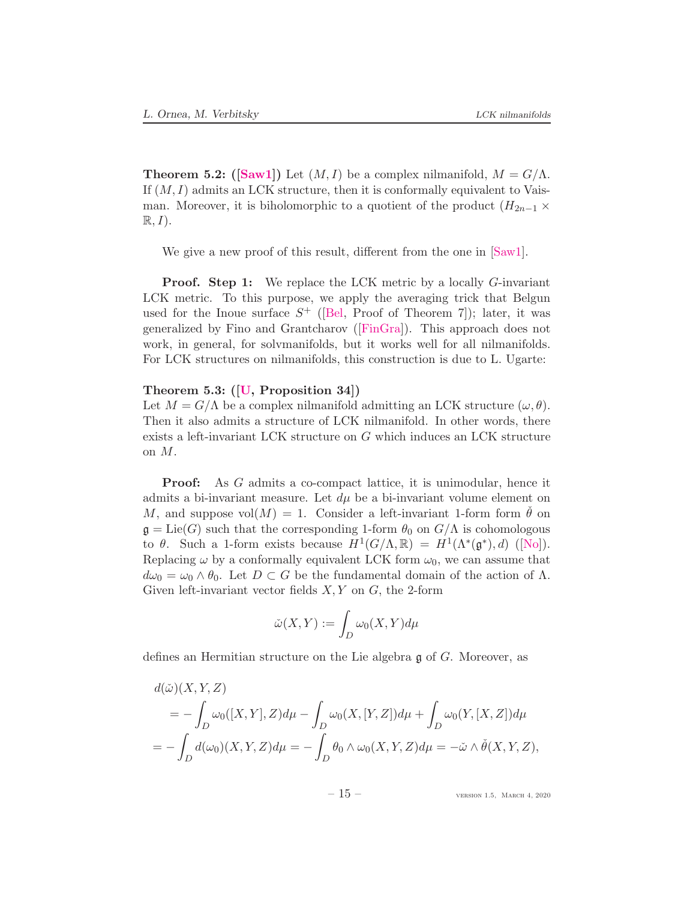<span id="page-14-1"></span><span id="page-14-0"></span>**Theorem 5.2:** ([\[Saw1\]](#page-17-2)) Let  $(M, I)$  be a complex nilmanifold,  $M = G/\Lambda$ . If  $(M, I)$  admits an LCK structure, then it is conformally equivalent to Vaisman. Moreover, it is biholomorphic to a quotient of the product  $(H_{2n-1} \times$  $\mathbb{R}, I$ ).

We give a new proof of this result, different from the one in [\[Saw1\]](#page-17-2).

**Proof.** Step 1: We replace the LCK metric by a locally G-invariant LCK metric. To this purpose, we apply the averaging trick that Belgun used for the Inoue surface  $S^+$  ([\[Bel,](#page-16-4) Proof of Theorem 7]); later, it was generalized by Fino and Grantcharov([\[FinGra\]](#page-16-11)). This approach does not work, in general, for solvmanifolds, but it works well for all nilmanifolds. For LCK structures on nilmanifolds, this construction is due to L. Ugarte:

### Theorem 5.3: ([\[U,](#page-18-3) Proposition 34])

Let  $M = G/\Lambda$  be a complex nilmanifold admitting an LCK structure  $(\omega, \theta)$ . Then it also admits a structure of LCK nilmanifold. In other words, there exists a left-invariant LCK structure on G which induces an LCK structure on M.

Proof: As G admits a co-compact lattice, it is unimodular, hence it admits a bi-invariant measure. Let  $d\mu$  be a bi-invariant volume element on M, and suppose  $vol(M) = 1$ . Consider a left-invariant 1-form form  $\dot{\theta}$  on  $\mathfrak{g} = \text{Lie}(G)$  such that the corresponding 1-form  $\theta_0$  on  $G/\Lambda$  is cohomologous to $\theta$ . Such a 1-form exists because  $H^1(G/\Lambda,\mathbb{R}) = H^1(\Lambda^*(\mathfrak{g}^*),d)$  ([\[No\]](#page-17-16)). Replacing  $\omega$  by a conformally equivalent LCK form  $\omega_0$ , we can assume that  $d\omega_0 = \omega_0 \wedge \theta_0$ . Let  $D \subset G$  be the fundamental domain of the action of  $\Lambda$ . Given left-invariant vector fields  $X, Y$  on  $G$ , the 2-form

$$
\check{\omega}(X,Y):=\int_D \omega_0(X,Y)d\mu
$$

defines an Hermitian structure on the Lie algebra g of G. Moreover, as

$$
d(\tilde{\omega})(X, Y, Z)
$$
  
=  $-\int_D \omega_0([X, Y], Z) d\mu - \int_D \omega_0(X, [Y, Z]) d\mu + \int_D \omega_0(Y, [X, Z]) d\mu$   
=  $-\int_D d(\omega_0)(X, Y, Z) d\mu = -\int_D \theta_0 \wedge \omega_0(X, Y, Z) d\mu = -\tilde{\omega} \wedge \tilde{\theta}(X, Y, Z),$ 

 $-15 -$  version 1.5, March 4, 2020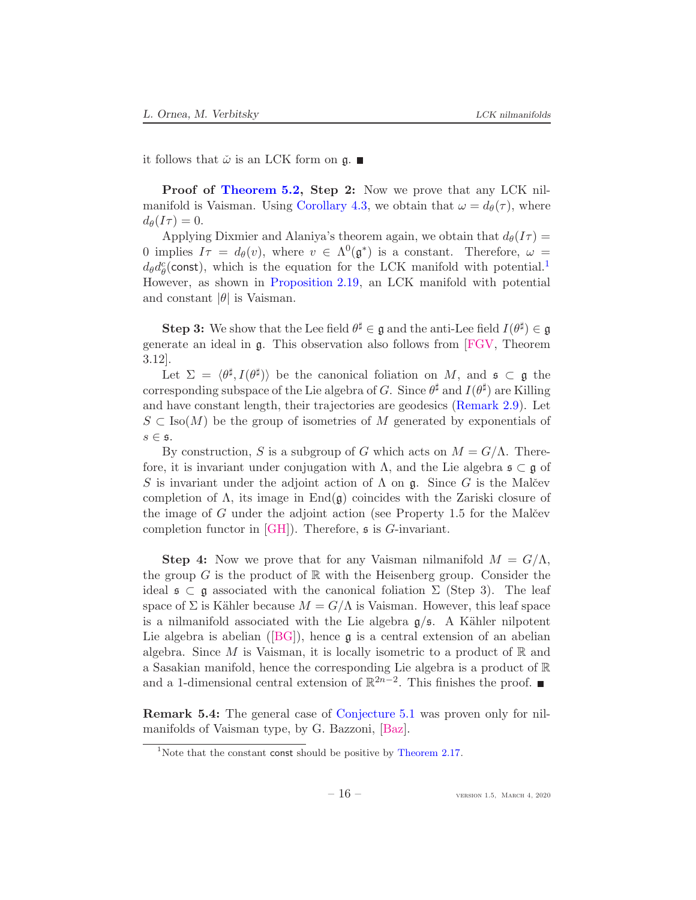<span id="page-15-1"></span>it follows that  $\check{\omega}$  is an LCK form on  $\mathfrak{g}$ .

**Proof of [Theorem 5.2,](#page-14-0) Step 2:** Now we prove that any LCK nil-manifold is Vaisman. Using [Corollary 4.3,](#page-12-2) we obtain that  $\omega = d_{\theta}(\tau)$ , where  $d_{\theta}(I\tau) = 0.$ 

Applying Dixmier and Alaniya's theorem again, we obtain that  $d_{\theta}(I\tau) =$ 0 implies  $I\tau = d_{\theta}(v)$ , where  $v \in \Lambda^{0}(\mathfrak{g}^{*})$  is a constant. Therefore,  $\omega =$  $d_{\theta}d_{\theta}^{c}$  (const), which is the equation for the LCK manifold with potential.<sup>[1](#page-15-0)</sup> However, as shown in [Proposition 2.19,](#page-7-2) an LCK manifold with potential and constant  $|\theta|$  is Vaisman.

**Step 3:** We show that the Lee field  $\theta^{\sharp} \in \mathfrak{g}$  and the anti-Lee field  $I(\theta^{\sharp}) \in \mathfrak{g}$ generate an ideal in g. This observation also follows from [\[FGV,](#page-16-12) Theorem 3.12].

Let  $\Sigma = \langle \theta^{\sharp}, I(\theta^{\sharp}) \rangle$  be the canonical foliation on M, and  $\mathfrak{s} \subset \mathfrak{g}$  the corresponding subspace of the Lie algebra of G. Since  $\theta^{\sharp}$  and  $I(\theta^{\sharp})$  are Killing and have constant length, their trajectories are geodesics [\(Remark 2.9\)](#page-5-1). Let  $S \subset \text{Iso}(M)$  be the group of isometries of M generated by exponentials of  $s \in \mathfrak{s}.$ 

By construction, S is a subgroup of G which acts on  $M = G/\Lambda$ . Therefore, it is invariant under conjugation with  $\Lambda$ , and the Lie algebra  $\mathfrak{s} \subset \mathfrak{g}$  of S is invariant under the adjoint action of  $\Lambda$  on  $\mathfrak{g}$ . Since G is the Malcev completion of  $\Lambda$ , its image in End $(\mathfrak{g})$  coincides with the Zariski closure of the image of  $G$  under the adjoint action (see Property 1.5 for the Malčev completion functor in  $[GH]$ ). Therefore,  $\mathfrak s$  is  $G$ -invariant.

**Step 4:** Now we prove that for any Vaisman nilmanifold  $M = G/\Lambda$ , the group  $G$  is the product of  $\mathbb R$  with the Heisenberg group. Consider the ideal  $\mathfrak{s} \subset \mathfrak{g}$  associated with the canonical foliation  $\Sigma$  (Step 3). The leaf space of  $\Sigma$  is Kähler because  $M = G/\Lambda$  is Vaisman. However, this leaf space is a nilmanifold associated with the Lie algebra  $g/s$ . A Kähler nilpotent Liealgebra is abelian ( $[BG]$ ), hence  $\mathfrak g$  is a central extension of an abelian algebra. Since M is Vaisman, it is locally isometric to a product of  $\mathbb R$  and a Sasakian manifold, hence the corresponding Lie algebra is a product of R and a 1-dimensional central extension of  $\mathbb{R}^{2n-2}$ . This finishes the proof.

Remark 5.4: The general case of [Conjecture 5.1](#page-13-3) was proven only for nilmanifolds of Vaisman type, by G. Bazzoni, [\[Baz\]](#page-16-13).

<span id="page-15-0"></span><sup>&</sup>lt;sup>1</sup>Note that the constant const should be positive by [Theorem 2.17.](#page-6-3)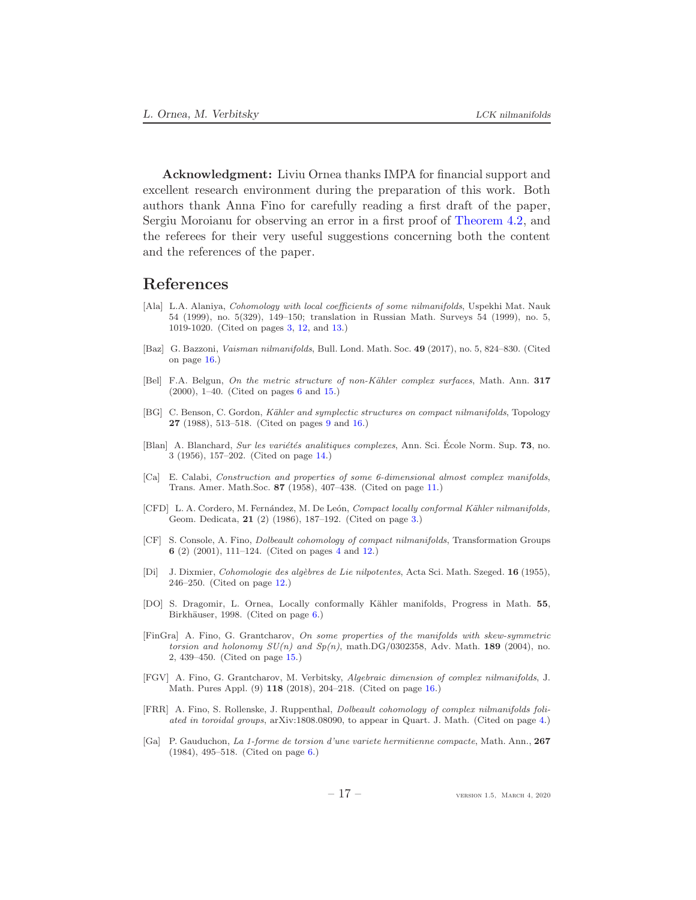Acknowledgment: Liviu Ornea thanks IMPA for financial support and excellent research environment during the preparation of this work. Both authors thank Anna Fino for carefully reading a first draft of the paper, Sergiu Moroianu for observing an error in a first proof of [Theorem 4.2,](#page-11-2) and the referees for their very useful suggestions concerning both the content and the references of the paper.

# References

- <span id="page-16-1"></span>[Ala] L.A. Alaniya, *Cohomology with local coefficients of some nilmanifolds*, Uspekhi Mat. Nauk 54 (1999), no. 5(329), 149–150; translation in Russian Math. Surveys 54 (1999), no. 5, 1019-1020. (Cited on pages [3,](#page-2-0) [12,](#page-11-3) and [13.](#page-12-3))
- <span id="page-16-13"></span>[Baz] G. Bazzoni, Vaisman nilmanifolds, Bull. Lond. Math. Soc. 49 (2017), no. 5, 824–830. (Cited on page [16.](#page-15-1))
- <span id="page-16-4"></span>[Bel] F.A. Belgun, On the metric structure of non-Kähler complex surfaces, Math. Ann. 317 (2000), 1–40. (Cited on pages [6](#page-5-2) and [15.](#page-14-1))
- <span id="page-16-7"></span>[BG] C. Benson, C. Gordon, *Kähler and symplectic structures on compact nilmanifolds*, Topology 27 (1988), 513–518. (Cited on pages [9](#page-8-1) and [16.](#page-15-1))
- <span id="page-16-10"></span>[Blan] A. Blanchard, Sur les variétés analitiques complexes, Ann. Sci. École Norm. Sup. 73, no. 3 (1956), 157–202. (Cited on page [14.](#page-13-4))
- <span id="page-16-8"></span>[Ca] E. Calabi, Construction and properties of some 6-dimensional almost complex manifolds, Trans. Amer. Math.Soc. 87 (1958), 407–438. (Cited on page [11.](#page-10-1))
- <span id="page-16-0"></span>[CFD] L. A. Cordero, M. Fernández, M. De León, Compact locally conformal Kähler nilmanifolds, Geom. Dedicata, 21 (2) (1986), 187–192. (Cited on page [3.](#page-2-0))
- <span id="page-16-2"></span>[CF] S. Console, A. Fino, Dolbeault cohomology of compact nilmanifolds, Transformation Groups 6 (2) (2001), 111–124. (Cited on pages [4](#page-3-0) and [12.](#page-11-3))
- <span id="page-16-9"></span>[Di] J. Dixmier, Cohomologie des algèbres de Lie nilpotentes, Acta Sci. Math. Szeged. 16 (1955), 246–250. (Cited on page [12.](#page-11-3))
- <span id="page-16-5"></span>[DO] S. Dragomir, L. Ornea, Locally conformally Kähler manifolds, Progress in Math. 55, Birkhäuser, 1998. (Cited on page [6.](#page-5-2))
- <span id="page-16-11"></span>[FinGra] A. Fino, G. Grantcharov, On some properties of the manifolds with skew-symmetric torsion and holonomy  $SU(n)$  and  $Sp(n)$ , math.DG/0302358, Adv. Math. 189 (2004), no. 2, 439–450. (Cited on page [15.](#page-14-1))
- <span id="page-16-12"></span>[FGV] A. Fino, G. Grantcharov, M. Verbitsky, Algebraic dimension of complex nilmanifolds, J. Math. Pures Appl. (9) 118 (2018), 204–218. (Cited on page [16.](#page-15-1))
- <span id="page-16-3"></span>[FRR] A. Fino, S. Rollenske, J. Ruppenthal, Dolbeault cohomology of complex nilmanifolds foliated in toroidal groups, arXiv:1808.08090, to appear in Quart. J. Math. (Cited on page [4.](#page-3-0))
- <span id="page-16-6"></span>[Ga] P. Gauduchon, La 1-forme de torsion d'une variete hermitienne compacte, Math. Ann., 267 (1984), 495–518. (Cited on page [6.](#page-5-2))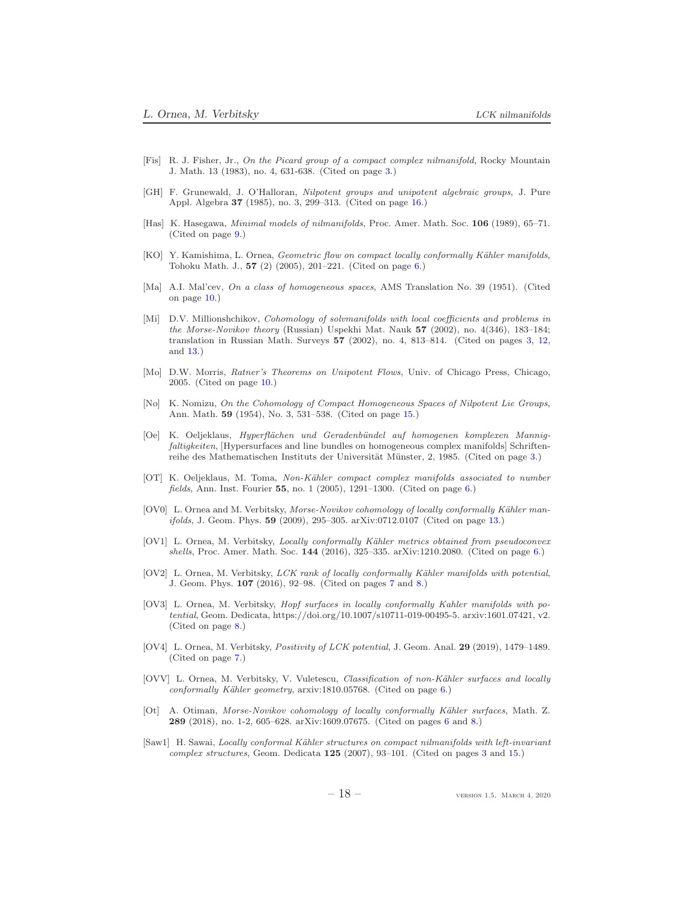- <span id="page-17-0"></span>[Fis] R. J. Fisher, Jr., On the Picard group of a compact complex nilmanifold, Rocky Mountain J. Math. 13 (1983), no. 4, 631-638. (Cited on page [3.](#page-2-0))
- <span id="page-17-17"></span>[GH] F. Grunewald, J. O'Halloran, Nilpotent groups and unipotent algebraic groups, J. Pure Appl. Algebra 37 (1985), no. 3, 299–313. (Cited on page [16.](#page-15-1))
- <span id="page-17-12"></span>[Has] K. Hasegawa, Minimal models of nilmanifolds, Proc. Amer. Math. Soc. 106 (1989), 65–71. (Cited on page [9.](#page-8-1))
- <span id="page-17-4"></span>[KO] Y. Kamishima, L. Ornea, *Geometric flow on compact locally conformally Kähler manifolds*, Tohoku Math. J., 57 (2) (2005), 201–221. (Cited on page [6.](#page-5-2))
- <span id="page-17-13"></span>[Ma] A.I. Mal'cev, On a class of homogeneous spaces, AMS Translation No. 39 (1951). (Cited on page [10.](#page-9-2))
- <span id="page-17-3"></span>[Mi] D.V. Millionshchikov, Cohomology of solvmanifolds with local coefficients and problems in the Morse-Novikov theory (Russian) Uspekhi Mat. Nauk 57 (2002), no. 4(346), 183–184; translation in Russian Math. Surveys 57 (2002), no. 4, 813–814. (Cited on pages [3,](#page-2-0) [12,](#page-11-3) and [13.](#page-12-3))
- <span id="page-17-14"></span>[Mo] D.W. Morris, Ratner's Theorems on Unipotent Flows, Univ. of Chicago Press, Chicago, 2005. (Cited on page [10.](#page-9-2))
- <span id="page-17-16"></span>[No] K. Nomizu, On the Cohomology of Compact Homogeneous Spaces of Nilpotent Lie Groups, Ann. Math. 59 (1954), No. 3, 531–538. (Cited on page [15.](#page-14-1))
- <span id="page-17-1"></span>[Oe] K. Oeljeklaus, Hyperfl¨achen und Geradenb¨undel auf homogenen komplexen Mannigfaltigkeiten, [Hypersurfaces and line bundles on homogeneous complex manifolds] Schriften-reihe des Mathematischen Instituts der Universität Münster, 2, 1985. (Cited on page [3.](#page-2-0))
- <span id="page-17-7"></span>[OT] K. Oeljeklaus, M. Toma, Non-Kähler compact complex manifolds associated to number fields, Ann. Inst. Fourier 55, no. 1 (2005), 1291–1300. (Cited on page [6.](#page-5-2))
- <span id="page-17-15"></span>[OV0] L. Ornea and M. Verbitsky, Morse-Novikov cohomology of locally conformally Kähler manifolds, J. Geom. Phys. 59 (2009), 295–305. arXiv:0712.0107 (Cited on page [13.](#page-12-3))
- <span id="page-17-5"></span>[OV1] L. Ornea, M. Verbitsky, Locally conformally Kähler metrics obtained from pseudoconvex shells, Proc. Amer. Math. Soc. 144 (2016), 325–335. arXiv:1210.2080. (Cited on page [6.](#page-5-2))
- <span id="page-17-9"></span>[OV2] L. Ornea, M. Verbitsky, *LCK rank of locally conformally Kähler manifolds with potential*, J. Geom. Phys. 107 (2016), 92–98. (Cited on pages [7](#page-6-4) and [8.](#page-7-3))
- <span id="page-17-11"></span>[OV3] L. Ornea, M. Verbitsky, *Hopf surfaces in locally conformally Kahler manifolds with po*tential, Geom. Dedicata, https://doi.org/10.1007/s10711-019-00495-5. arxiv:1601.07421, v2. (Cited on page [8.](#page-7-3))
- <span id="page-17-10"></span>[OV4] L. Ornea, M. Verbitsky, Positivity of LCK potential, J. Geom. Anal. 29 (2019), 1479–1489. (Cited on page [7.](#page-6-4))
- <span id="page-17-6"></span>[OVV] L. Ornea, M. Verbitsky, V. Vuletescu, Classification of non-Kähler surfaces and locally conformally Kähler geometry,  $arxiv:1810.05768$ . (Cited on page  $6$ .)
- <span id="page-17-8"></span>[Ot] A. Otiman, Morse-Novikov cohomology of locally conformally Kähler surfaces, Math. Z. 289 (2018), no. 1-2, 605–628. arXiv:1609.07675. (Cited on pages [6](#page-5-2) and [8.](#page-7-3))
- <span id="page-17-2"></span>[Saw1] H. Sawai, Locally conformal Kähler structures on compact nilmanifolds with left-invariant complex structures, Geom. Dedicata 125 (2007), 93–101. (Cited on pages [3](#page-2-0) and [15.](#page-14-1))